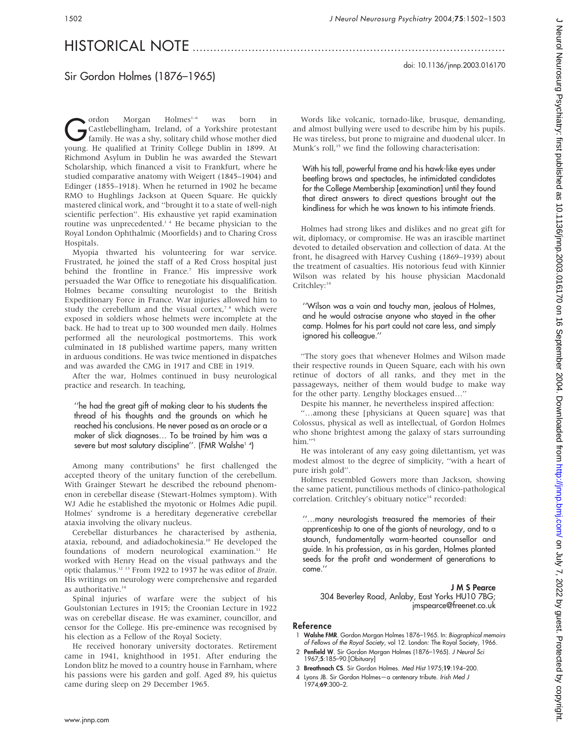Gordon Morgan Holmes<sup>1–6</sup> was born in<br>Castlebellingham, Ireland, of a Yorkshire protestant<br>family. He was a shy, solitary child whose mother died<br>www.gordon Morgan College Dublin in 1800, 4: Castlebellingham, Ireland, of a Yorkshire protestant young. He qualified at Trinity College Dublin in 1899. At Richmond Asylum in Dublin he was awarded the Stewart Scholarship, which financed a visit to Frankfurt, where he studied comparative anatomy with Weigert (1845–1904) and Edinger (1855–1918). When he returned in 1902 he became RMO to Hughlings Jackson at Queen Square. He quickly mastered clinical work, and ''brought it to a state of well-nigh scientific perfection''. His exhaustive yet rapid examination routine was unprecedented.<sup>14</sup> He became physician to the Royal London Ophthalmic (Moorfields) and to Charing Cross Hospitals.

Myopia thwarted his volunteering for war service. Frustrated, he joined the staff of a Red Cross hospital just behind the frontline in France.<sup>7</sup> His impressive work persuaded the War Office to renegotiate his disqualification. Holmes became consulting neurologist to the British Expeditionary Force in France. War injuries allowed him to study the cerebellum and the visual cortex,<sup>7</sup> <sup>8</sup> which were exposed in soldiers whose helmets were incomplete at the back. He had to treat up to 300 wounded men daily. Holmes performed all the neurological postmortems. This work culminated in 18 published wartime papers, many written in arduous conditions. He was twice mentioned in dispatches and was awarded the CMG in 1917 and CBE in 1919.

After the war, Holmes continued in busy neurological practice and research. In teaching,

''he had the great gift of making clear to his students the thread of his thoughts and the grounds on which he reached his conclusions. He never posed as an oracle or a maker of slick diagnoses… To be trained by him was a severe but most salutary discipline". (FMR Walshe<sup>14</sup>)

Among many contributions<sup>9</sup> he first challenged the accepted theory of the unitary function of the cerebellum. With Grainger Stewart he described the rebound phenomenon in cerebellar disease (Stewart-Holmes symptom). With WJ Adie he established the myotonic or Holmes Adie pupil. Holmes' syndrome is a hereditary degenerative cerebellar ataxia involving the olivary nucleus.

Cerebellar disturbances he characterised by asthenia, ataxia, rebound, and adiadochokinesia.<sup>10</sup> He developed the foundations of modern neurological examination.<sup>11</sup> He worked with Henry Head on the visual pathways and the optic thalamus.<sup>12 13</sup> From 1922 to 1937 he was editor of Brain. His writings on neurology were comprehensive and regarded as authoritative.14

Spinal injuries of warfare were the subject of his Goulstonian Lectures in 1915; the Croonian Lecture in 1922 was on cerebellar disease. He was examiner, councillor, and censor for the College. His pre-eminence was recognised by his election as a Fellow of the Royal Society.

He received honorary university doctorates. Retirement came in 1941, knighthood in 1951. After enduring the London blitz he moved to a country house in Farnham, where his passions were his garden and golf. Aged 89, his quietus came during sleep on 29 December 1965.

doi: 10.1136/jnnp.2003.016170

Words like volcanic, tornado-like, brusque, demanding, and almost bullying were used to describe him by his pupils. He was tireless, but prone to migraine and duodenal ulcer. In Munk's roll,<sup>15</sup> we find the following characterisation:

With his tall, powerful frame and his hawk-like eyes under beetling brows and spectacles, he intimidated candidates for the College Membership [examination] until they found that direct answers to direct questions brought out the kindliness for which he was known to his intimate friends.

Holmes had strong likes and dislikes and no great gift for wit, diplomacy, or compromise. He was an irascible martinet devoted to detailed observation and collection of data. At the front, he disagreed with Harvey Cushing (1869–1939) about the treatment of casualties. His notorious feud with Kinnier Wilson was related by his house physician Macdonald Critchley:<sup>14</sup>

''Wilson was a vain and touchy man, jealous of Holmes, and he would ostracise anyone who stayed in the other camp. Holmes for his part could not care less, and simply ignored his colleague.''

''The story goes that whenever Holmes and Wilson made their respective rounds in Queen Square, each with his own retinue of doctors of all ranks, and they met in the passageways, neither of them would budge to make way for the other party. Lengthy blockages ensued…''

Despite his manner, he nevertheless inspired affection:

''…among these [physicians at Queen square] was that Colossus, physical as well as intellectual, of Gordon Holmes who shone brightest among the galaxy of stars surrounding him.''5

He was intolerant of any easy going dilettantism, yet was modest almost to the degree of simplicity, ''with a heart of pure irish gold''.

Holmes resembled Gowers more than Jackson, showing the same patient, punctilious methods of clinico-pathological correlation. Critchley's obituary notice<sup>14</sup> recorded:

''…many neurologists treasured the memories of their apprenticeship to one of the giants of neurology, and to a staunch, fundamentally warm-hearted counsellor and guide. In his profession, as in his garden, Holmes planted seeds for the profit and wonderment of generations to come.''

J M S Pearce 304 Beverley Road, Anlaby, East Yorks HU10 7BG; jmspearce@freenet.co.uk

## Reference

- Walshe FMR. Gordon Morgan Holmes 1876-1965. In: Biographical memoirs of Fellows of the Royal Society, vol 12. London: The Royal Society, 1966.
- 2 Penfield W. Sir Gordon Morgan Holmes (1876–1965). J Neurol Sci 1967;5:185–90.[Obituary]
- 3 Breathnach CS. Sir Gordon Holmes. Med Hist 1975;19:194–200.
- 4 Lyons JB. Sir Gordon Holmes—a centenary tribute. Irish Med J 1974;69:300–2.